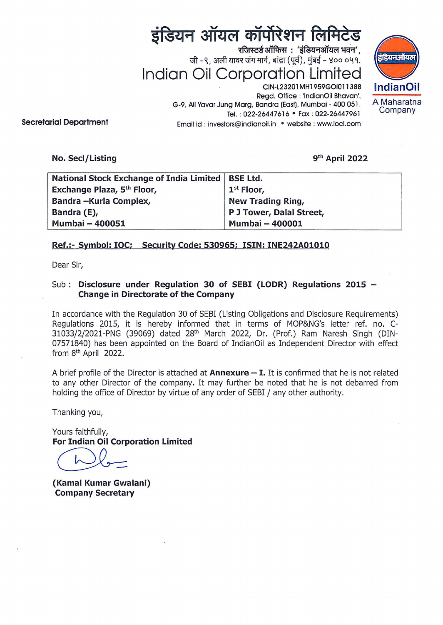# इंडियन ऑयल कॉर्पोरेशन लिमिटेड

रजिस्टर्ड ऑफिस: 'इंडियनऑयल भवन', जी -९, अली यावर जंग मार्ग, बांद्रा (पूर्व), मुंबई - ४०० ०५१. **Indian Oil Corporation Limited** 



CIN-L23201 MH1959GOI011388 Regd. Office: 'lndianOil Bhavan', G-9, Ali Yavar Jung Marg, Sandra (East). Mumbai- 400 051 . Tel.: 022-26447616 · Fax: 022-26447961 Email id : investors@indianoil.in • website : www.iocl.com

**Secretarial Department** 

**No. Sed/Listing** 

gth **April 2022** 

| <b>National Stock Exchange of India Limited</b> | <b>BSE Ltd.</b>          |
|-------------------------------------------------|--------------------------|
| Exchange Plaza, 5th Floor,                      | 1 <sup>st</sup> Floor,   |
| Bandra-Kurla Complex,                           | New Trading Ring,        |
| Bandra (E),                                     | P J Tower, Dalal Street, |
| <b>Mumbai - 400051</b>                          | <b>Mumbai - 400001</b>   |

## **Ref.:- Symbol: IOC; Security Code: 530965; ISIN: INE242A01010**

Dear Sir,

## Sub : **Disclosure under Regulation 30 of SEBI (LODR) Regulations 2015 -Change in Directorate of the Company**

In accordance with the Regulation 30 of SEBI (Listing Obligations and Disclosure Requirements) Regulations 2015, it is hereby informed that in terms of MOP&NG's letter ref. no. C-31033/2/202i-PNG (39069) dated 28th March 2022, Dr. (Prof.) Ram Naresh Singh (DIN-07571840) has been appointed on the Board of IndianOil as Independent Director with effect from 8<sup>th</sup> April 2022.

A brief profile of the Director is attached at **Annexure** - I. It is confirmed that he is not related to any other Director of the company. It may further be noted that he is not debarred from holding the office of Director by virtue of any order of SEBI / any other authority.

Thanking you,

Yours faithfully, **For Indian Oil Corporation Limited** 

ours faithfully,<br> **or Indian Oil Corpora**<br> **Algement** 

**(Kamal Kumar Gwalani) Company Secretary**